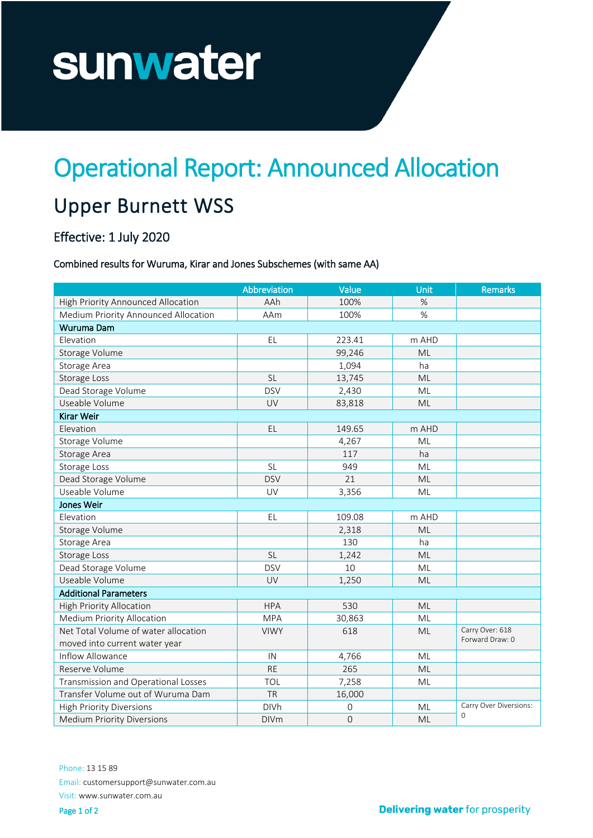# sunwater

## Operational Report: Announced Allocation

### Upper Burnett WSS

#### Effective: 1 July 2020

#### Combined results for Wuruma, Kirar and Jones Subschemes (with same AA)

|                                      | Abbreviation | Value       | <b>Unit</b> | Remarks                                |
|--------------------------------------|--------------|-------------|-------------|----------------------------------------|
| High Priority Announced Allocation   | AAh          | 100%        | $\%$        |                                        |
| Medium Priority Announced Allocation | AAm          | 100%        | $\%$        |                                        |
| Wuruma Dam                           |              |             |             |                                        |
| Elevation                            | EL           | 223.41      | m AHD       |                                        |
| Storage Volume                       |              | 99,246      | ML          |                                        |
| Storage Area                         |              | 1,094       | ha          |                                        |
| Storage Loss                         | <b>SL</b>    | 13,745      | ML          |                                        |
| Dead Storage Volume                  | <b>DSV</b>   | 2,430       | <b>ML</b>   |                                        |
| Useable Volume                       | UV           | 83,818      | <b>ML</b>   |                                        |
| Kirar Weir                           |              |             |             |                                        |
| Elevation                            | EL           | 149.65      | m AHD       |                                        |
| Storage Volume                       |              | 4,267       | ML          |                                        |
| Storage Area                         |              | 117         | ha          |                                        |
| Storage Loss                         | <b>SL</b>    | 949         | ML          |                                        |
| Dead Storage Volume                  | <b>DSV</b>   | 21          | ML          |                                        |
| Useable Volume                       | UV           | 3,356       | ML          |                                        |
| Jones Weir                           |              |             |             |                                        |
| Elevation                            | EL           | 109.08      | m AHD       |                                        |
| Storage Volume                       |              | 2,318       | ML          |                                        |
| Storage Area                         |              | 130         | ha          |                                        |
| Storage Loss                         | <b>SL</b>    | 1,242       | ML          |                                        |
| Dead Storage Volume                  | <b>DSV</b>   | 10          | ML          |                                        |
| Useable Volume                       | UV           | 1,250       | <b>ML</b>   |                                        |
| <b>Additional Parameters</b>         |              |             |             |                                        |
| High Priority Allocation             | <b>HPA</b>   | 530         | ML          |                                        |
| <b>Medium Priority Allocation</b>    | <b>MPA</b>   | 30,863      | ML          |                                        |
| Net Total Volume of water allocation | <b>VIWY</b>  | 618         | <b>ML</b>   | Carry Over: 618                        |
| moved into current water year        |              |             |             | Forward Draw: 0                        |
| Inflow Allowance                     | IN           | 4,766       | ML          |                                        |
| Reserve Volume                       | <b>RE</b>    | 265         | <b>ML</b>   |                                        |
| Transmission and Operational Losses  | TOL          | 7,258       | ML          |                                        |
| Transfer Volume out of Wuruma Dam    | <b>TR</b>    | 16,000      |             |                                        |
| <b>High Priority Diversions</b>      | <b>DIVh</b>  | 0           | ML          | Carry Over Diversions:<br>$\mathbf{O}$ |
| <b>Medium Priority Diversions</b>    | <b>DIVm</b>  | $\mathbf 0$ | ML          |                                        |

Phone: 13 15 89 Email: customersupport@sunwater.com.au Visit: www.sunwater.com.au